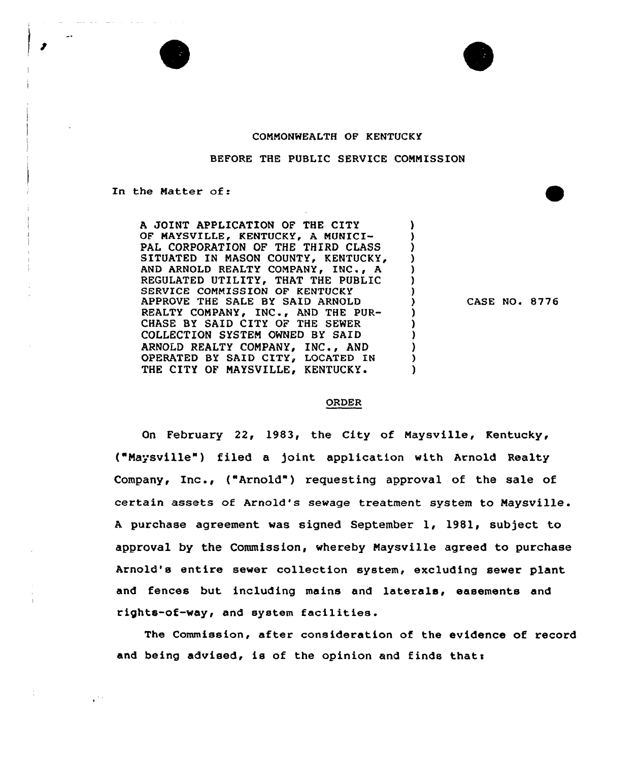



## COMMONWEALTH OF KENTUCKY

## BEFORE THE PUBLIC SERVICE COMMISSION

In the Matter of:

A JOINT APPLICATION OF THE CITY OF MAYSVILLE, KENTUCKY, A MUNICI-PAL CORPORATION OF THE THIRD CLASS SITUATED IN MASON COUNTY, KENTUCKY, AND ARNOLD REALTY COMPANY, INC., A REGULATED UTILITY, THAT THE PUBLIC SERVICE COMMISSION OF KENTUCKY APPROVE THE SALE BY SAID ARNOLD REALTY COMPANY» INC., AND THE PUR-CHASE BY SAID CITY OF THE SEWER COLLECTION SYSTEM OWNED BY SAID ARNOLD REALTY COMPANY, INC., AND (1993)<br>
OPERATED BY SAID CITY, LOCATED IN OPERATED BY SAID CITY» LOCATED IN THE CITY OF MAYSVILLE, KENTUCKY.

CASE NO. 8776

## ORDER

 $\lambda$ 

On February 22, 1983, the City of Maysville, Kentucky, ("Naysville") filed a joint application with Arnold Realty Company, Inc., ("Arnold" ) requesting approval of the sale of certain assets of Arnold's sewage treatment system to Naysville . <sup>A</sup> purchase agreement was signed September 1, 1981, subject to approval by the Commission, whereby Maysville agreed to purchase Arnold's entire sewer collection system, excluding sewer plant and fences but including mains and laterals, easements and rights-of-way, and system facilities.

The Commission, after consideration of the evidence of record and being advised, is of the opinion and finds that: